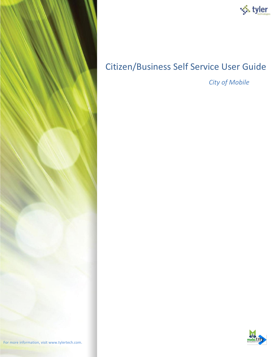



# Citizen/Business Self Service User Guide

*City of Mobile* 

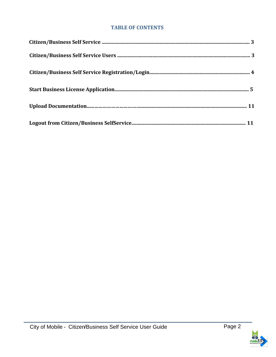#### **TABLE OF CONTENTS**

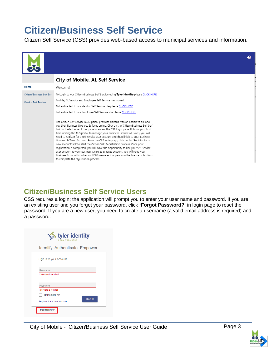# **Citizen/Business Self Service**

Citizen Self Service (CSS) provides web-based access to municipal services and information.



# **Citizen/Business Self Service Users**

CSS requires a login; the application will prompt you to enter your user name and password. If you are an existing user and you forget your password, click **'Forgot Password?'** in login page to reset the password. If you are a new user, you need to create a username (a valid email address is required) and a password.

| tyler identity<br>a total tyler solution     |
|----------------------------------------------|
| <b>Identify. Authenticate. Empower.</b>      |
| Sign in to your account                      |
| Username                                     |
| <b>Username</b> is required                  |
| Password                                     |
| Password is required                         |
| Remember me                                  |
| <b>SIGN IN</b><br>Register for a new account |
| Forgot password?                             |

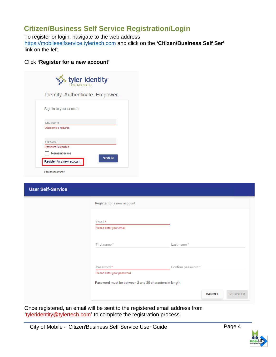# **Citizen/Business Self Service Registration/Login**

To register or login, navigate to the web address [https://mobileselfservice.tylertech.com](https://mobileselfservice.tylertech.com/) [a](https://mobileselfservice.tylertech.com/Default.aspx)nd click on the **'Citizen/Business Self Ser'** link on the left.

#### Click **'Register for a new account'**

| <b>A</b> tyler identity<br>a total tyler solution |                |
|---------------------------------------------------|----------------|
| <b>Identify. Authenticate. Empower.</b>           |                |
| Sign in to your account                           |                |
| Username<br>Username is required                  |                |
| Password<br>Password is required                  |                |
| Remember me<br>Register for a new account         | <b>SIGN IN</b> |
| Forgot password?                                  |                |

| <b>User Self-Service</b> |                                                        |                                  |
|--------------------------|--------------------------------------------------------|----------------------------------|
|                          | Register for a new account                             |                                  |
|                          | Email *<br>Please enter your email                     |                                  |
|                          | First name*                                            | Last name *                      |
|                          |                                                        |                                  |
|                          | Password *                                             | Confirm password *               |
|                          | Please enter your password                             |                                  |
|                          | Password must be between 2 and 20 characters in length |                                  |
|                          |                                                        | <b>REGISTER</b><br><b>CANCEL</b> |

Once registered, an email will be sent to the registered email address from **'**tyleridentity@tylertech.com**'** to complete the registration process.

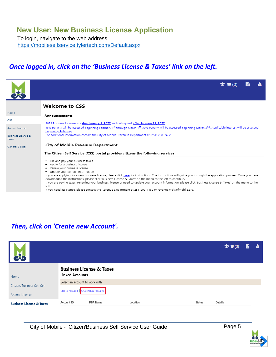#### **New User: New Business License Application**

To login, navigate to the web address ht[tps://mobileselfservice.tylertech.com/Default.aspx](https://mobileselfservice.tylertech.com/Default.aspx)

#### *Once logged in, click on the 'Business License & Taxes' link on the left.*

|                                        | $\blacktriangleright$ $\blacktriangleright$ (0)                                                                                                                                                                                                                                                                                                                                                                                                                                                                                                                                                       |  |
|----------------------------------------|-------------------------------------------------------------------------------------------------------------------------------------------------------------------------------------------------------------------------------------------------------------------------------------------------------------------------------------------------------------------------------------------------------------------------------------------------------------------------------------------------------------------------------------------------------------------------------------------------------|--|
|                                        | <b>Welcome to CSS</b>                                                                                                                                                                                                                                                                                                                                                                                                                                                                                                                                                                                 |  |
| Home                                   | Announcements                                                                                                                                                                                                                                                                                                                                                                                                                                                                                                                                                                                         |  |
| <b>CSS</b>                             | 2022 Business Licenses are due January 1, 2022 and delinquent after January 31, 2022.                                                                                                                                                                                                                                                                                                                                                                                                                                                                                                                 |  |
| Animal License                         | 15% penalty will be assessed beginning February 1st through March 1st, 30% penalty will be assessed beginning March 2 <sup>nd</sup> . Applicable interest will be assessed<br>beginning February.                                                                                                                                                                                                                                                                                                                                                                                                     |  |
| <b>Business License &amp;</b><br>Taxes | For additional information contact the City of Mobile, Revenue Department at (251) 208-7462.                                                                                                                                                                                                                                                                                                                                                                                                                                                                                                          |  |
| General Billing                        | City of Mobile Revenue Department                                                                                                                                                                                                                                                                                                                                                                                                                                                                                                                                                                     |  |
|                                        | The Citizen Self Service (CSS) portal provides citizens the following services                                                                                                                                                                                                                                                                                                                                                                                                                                                                                                                        |  |
|                                        | File and pay your business taxes<br>Apply for a business license<br>Renew your business license<br>Update your contact information<br>٠<br>If you are applying for a new business license, please click here for instructions. The instructions will guide you through the application process. Once you have<br>downloaded the instructions, please click 'Business License & Taxes' on the menu to the left to continue.<br>If you are paying taxes, renewing your business license or need to update your account information, please click 'Business License & Taxes' on the menu to the<br>left. |  |

If you need assistance, please contact the Revenue Department at 251-208-7462 or revenue@cityofmobile.org.

#### *Then, click on 'Create new Account'.*

|                                             |                                                    |                                     |          |        | $\bullet (0)$ | B | А |
|---------------------------------------------|----------------------------------------------------|-------------------------------------|----------|--------|---------------|---|---|
| Home                                        | <b>Linked Accounts</b>                             | <b>Business License &amp; Taxes</b> |          |        |               |   |   |
| Citizen/Business Self Ser<br>Animal License | Select an account to work with.<br>Link to Account | Create new Account                  |          |        |               |   |   |
| <b>Business License &amp; Taxes</b>         | Account ID                                         | <b>DBA Name</b>                     | Location | Status | Details       |   |   |

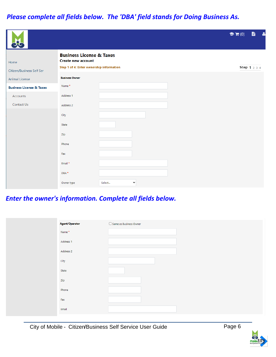# *Please complete all fields below. The 'DBA' field stands for Doing Business As.*

|                                     |                                                                                                              |             | <b>B A</b><br>$\bullet (0)$ |
|-------------------------------------|--------------------------------------------------------------------------------------------------------------|-------------|-----------------------------|
| Home<br>Citizen/Business Self Ser   | <b>Business License &amp; Taxes</b><br><b>Create new account</b><br>Step 1 of 4: Enter ownership information |             | Step 1 2 3 4                |
| Animal License                      | <b>Business Owner</b>                                                                                        |             |                             |
| <b>Business License &amp; Taxes</b> | Name*                                                                                                        |             |                             |
| Accounts                            | Address 1                                                                                                    |             |                             |
| Contact Us                          | Address 2                                                                                                    |             |                             |
|                                     | City                                                                                                         |             |                             |
|                                     | State                                                                                                        |             |                             |
|                                     | Zip                                                                                                          |             |                             |
|                                     | Phone                                                                                                        |             |                             |
|                                     | Fax                                                                                                          |             |                             |
|                                     | Email *                                                                                                      |             |                             |
|                                     | DBA*                                                                                                         |             |                             |
|                                     | Owner type                                                                                                   | Select<br>v |                             |

### *Enter the owner's information. Complete all fields below.*

| <b>Agent/Operator</b> | $\Box$ Same as Business Owner |
|-----------------------|-------------------------------|
| Name*                 |                               |
| Address 1             |                               |
| Address 2             |                               |
| City                  |                               |
| State                 |                               |
| Zip                   |                               |
| Phone                 |                               |
| Fax                   |                               |
| Email                 |                               |

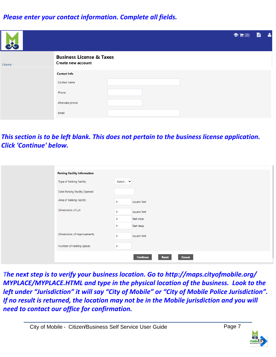#### *Please enter your contact information. Complete all fields.*

| cto  |                                                                  | $\bullet (0)$ | <b>B</b> & |  |
|------|------------------------------------------------------------------|---------------|------------|--|
| Home | <b>Business License &amp; Taxes</b><br><b>Create new account</b> |               |            |  |
|      | <b>Contact Info</b>                                              |               |            |  |
|      | Contact name                                                     |               |            |  |
|      | Phone                                                            |               |            |  |
|      | Alternate phone                                                  |               |            |  |
|      | Email                                                            |               |            |  |

# *This section is to be left blank. This does not pertain to the business license application. Click 'Continue' below.*

| <b>Parking Facility Information</b> |                                           |
|-------------------------------------|-------------------------------------------|
| Type of Parking Facility            | Select Y                                  |
| Date Parking Facility Opened        |                                           |
| Area of Parking Facility            | square feet<br>$\mathbf 0$                |
| Dimensions of Lot                   | square feet<br>$\mathbf 0$                |
|                                     | feet wide<br>$\circ$                      |
|                                     | feet deep<br>$\circ$                      |
| Dimensions of Improvements          | square feet<br>$\mathbf 0$                |
| Number of Parking spaces            | $\mathbf 0$                               |
|                                     | <b>Cancel</b><br><b>Continue</b><br>Reset |

*The next step is to verify your business location. Go to http://maps.cityofmobile.org/ MYPLACE/MYPLACE.HTML and type in the physical location of the business. Look to the left under "Jurisdiction" it will say "City of Mobile" or "City of Mobile Police Jurisdiction". If no result is returned, the location may not be in the Mobile jurisdiction and you will need to contact our office for confirmation.*

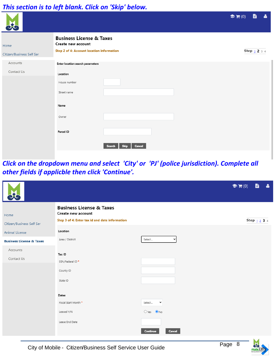#### *This section is to left blank. Click on 'Skip' below.*

|                                   |                                                                                                               |                                        | <b>B</b> &<br>$\bullet (0)$ |
|-----------------------------------|---------------------------------------------------------------------------------------------------------------|----------------------------------------|-----------------------------|
| Home<br>Citizen/Business Self Ser | <b>Business License &amp; Taxes</b><br>Create new account<br><b>Step 2 of 4: Account location information</b> |                                        | Step $1$ 2 3 4              |
| Accounts<br>Contact Us            | Enter location search parameters<br>Location<br>House number                                                  |                                        |                             |
|                                   | Street name<br>Name<br>Owner                                                                                  |                                        |                             |
|                                   | Parcel ID                                                                                                     | <b>Skip</b><br><b>Cancel</b><br>Search |                             |

*Click on the dropdown menu and select 'City' or 'PJ' (police jurisdiction). Complete all other fields if applicble then click 'Continue'.*

|                                                       |                                                                                                             |                        | $\bullet (0)$ |             | <b>B</b> & |  |
|-------------------------------------------------------|-------------------------------------------------------------------------------------------------------------|------------------------|---------------|-------------|------------|--|
| Home<br>Citizen/Business Self Ser                     | <b>Business License &amp; Taxes</b><br>Create new account<br>Step 3 of 4: Enter tax id and date information |                        |               | Step $1234$ |            |  |
| Animal License<br><b>Business License &amp; Taxes</b> | Location<br>Area / District                                                                                 | Select<br>$\checkmark$ |               |             |            |  |
| Accounts<br>Contact Us                                | Tax ID<br>SSN/Federal ID*<br>County ID<br>State ID                                                          |                        |               |             |            |  |
|                                                       | Dates<br>Fiscal Start Month *                                                                               | Select<br>$\checkmark$ |               |             |            |  |
|                                                       | Leased Y/N                                                                                                  | $O$ Yes $\bullet$ No   |               |             |            |  |
|                                                       | Lease End Date                                                                                              | Continue<br>Cancel     |               |             |            |  |

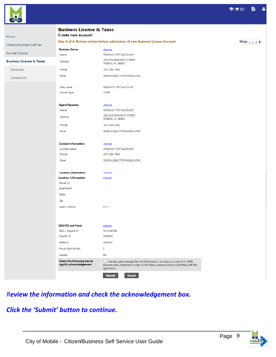

| Home                                | <b>Business License &amp; Taxes</b><br><b>Create new account</b>                             |                                                                                                                                                                                 |  |
|-------------------------------------|----------------------------------------------------------------------------------------------|---------------------------------------------------------------------------------------------------------------------------------------------------------------------------------|--|
| Citizen/Business Self Ser           | Step 4 of 4: Review entries before submission of new Business License Account<br>Step $1234$ |                                                                                                                                                                                 |  |
|                                     | <b>Business Owner</b>                                                                        | change                                                                                                                                                                          |  |
| Animal License                      | Name                                                                                         | REVENUE TEST ACCOUNT                                                                                                                                                            |  |
| <b>Business License &amp; Taxes</b> | Address                                                                                      | <b>205 GOVERNMENT STREET</b><br><b>MOBILE, AL 36602</b>                                                                                                                         |  |
| Accounts                            | Phone                                                                                        | 251-208-7462                                                                                                                                                                    |  |
| Contact Us                          | Email                                                                                        | REVENUE@CITYOFMOBILE.ORG                                                                                                                                                        |  |
|                                     |                                                                                              |                                                                                                                                                                                 |  |
|                                     | DBA name                                                                                     | REVENUE TEST ACCOUNT                                                                                                                                                            |  |
|                                     | Owner type                                                                                   | <b>CORP</b>                                                                                                                                                                     |  |
|                                     | <b>Agent/Operator</b>                                                                        | change                                                                                                                                                                          |  |
|                                     | Name                                                                                         | REVENUE TEST ACCOUNT                                                                                                                                                            |  |
|                                     | Address                                                                                      | 205 GOVERNMENT STREET<br>MOBILE, AL 36602                                                                                                                                       |  |
|                                     | Phone                                                                                        | 251-208-7462                                                                                                                                                                    |  |
|                                     | Email                                                                                        | REVENUE@CITYOFMOBILE.ORG                                                                                                                                                        |  |
|                                     | <b>Contact Information</b>                                                                   | change                                                                                                                                                                          |  |
|                                     | Contact name                                                                                 | REVENUE TEST ACCOUNT                                                                                                                                                            |  |
|                                     | Phone                                                                                        | 251-208-7462                                                                                                                                                                    |  |
|                                     | Email                                                                                        | REVENUE@CITYOFMOBILE.ORG                                                                                                                                                        |  |
|                                     | <b>Location Information</b>                                                                  | change                                                                                                                                                                          |  |
|                                     | <b>Location Information</b>                                                                  | change                                                                                                                                                                          |  |
|                                     | Parcel ID                                                                                    |                                                                                                                                                                                 |  |
|                                     | Apartment                                                                                    |                                                                                                                                                                                 |  |
|                                     | State                                                                                        |                                                                                                                                                                                 |  |
|                                     | Zip                                                                                          |                                                                                                                                                                                 |  |
|                                     | Area / District                                                                              | <b>CITY</b>                                                                                                                                                                     |  |
|                                     |                                                                                              |                                                                                                                                                                                 |  |
|                                     | <b>SSN/FID and Fiscal</b>                                                                    | <u>change</u>                                                                                                                                                                   |  |
|                                     | SSN / Federal ID                                                                             | 12-3456789                                                                                                                                                                      |  |
|                                     | County ID                                                                                    | 1234567                                                                                                                                                                         |  |
|                                     | State ID                                                                                     | 1234567                                                                                                                                                                         |  |
|                                     | <b>Fiscal Start Month</b>                                                                    | 7                                                                                                                                                                               |  |
|                                     | Leased                                                                                       | No                                                                                                                                                                              |  |
|                                     | Check the following box to<br>signify acknowledgement                                        | $\Box$ I hereby acknowledge that the information I am about to submit is 100%<br>accurate and understand a copy of the State License must be submitted with the<br>application. |  |
|                                     |                                                                                              | Cancel<br>Submit                                                                                                                                                                |  |

*Review the information and check the acknowledgement box.* 

#### *Click the 'Submit' button to continue.*



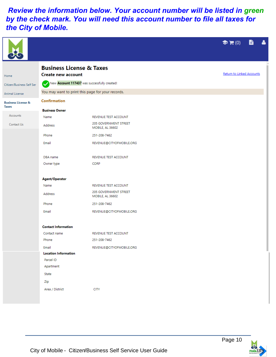# *Review the information below. Your account number will be listed in green by the check mark. You will need this account number to file all taxes for the City of Mobile.*

|                                               |                                                                  |                                           | $\bullet$ $\mathbf{F}$ (0) | <b>B</b> A |  |
|-----------------------------------------------|------------------------------------------------------------------|-------------------------------------------|----------------------------|------------|--|
| Home                                          | <b>Business License &amp; Taxes</b><br><b>Create new account</b> |                                           | Return to Linked Accounts  |            |  |
| Citizen/Business Self Ser                     | New Account 117437 was successfully created!                     |                                           |                            |            |  |
| Animal License                                | You may want to print this page for your records.                |                                           |                            |            |  |
| <b>Business License &amp;</b><br><b>Taxes</b> | <b>Confirmation</b>                                              |                                           |                            |            |  |
|                                               | <b>Business Owner</b>                                            |                                           |                            |            |  |
| Accounts                                      | Name                                                             | REVENUE TEST ACCOUNT                      |                            |            |  |
| Contact Us                                    | Address                                                          | 205 GOVERNMENT STREET<br>MOBILE, AL 36602 |                            |            |  |
|                                               | Phone                                                            | 251-208-7462                              |                            |            |  |
|                                               | Email                                                            | REVENUE@CITYOFMOBILE.ORG                  |                            |            |  |
|                                               | DBA name                                                         | REVENUE TEST ACCOUNT                      |                            |            |  |
|                                               | Owner type                                                       | <b>CORP</b>                               |                            |            |  |
|                                               | <b>Agent/Operator</b>                                            |                                           |                            |            |  |
|                                               | Name                                                             | REVENUE TEST ACCOUNT                      |                            |            |  |
|                                               | Address                                                          | 205 GOVERNMENT STREET<br>MOBILE, AL 36602 |                            |            |  |
|                                               | Phone                                                            | 251-208-7462                              |                            |            |  |
|                                               | Email                                                            | REVENUE@CITYOFMOBILE.ORG                  |                            |            |  |
|                                               | <b>Contact Information</b>                                       |                                           |                            |            |  |
|                                               | Contact name                                                     | REVENUE TEST ACCOUNT                      |                            |            |  |
|                                               | Phone                                                            | 251-208-7462                              |                            |            |  |
|                                               | Email                                                            | REVENUE@CITYOFMOBILE.ORG                  |                            |            |  |
|                                               | <b>Location Information</b>                                      |                                           |                            |            |  |
|                                               | Parcel ID                                                        |                                           |                            |            |  |
|                                               | Apartment                                                        |                                           |                            |            |  |
|                                               | State                                                            |                                           |                            |            |  |
|                                               | Zip                                                              |                                           |                            |            |  |
|                                               | Area / District                                                  | <b>CITY</b>                               |                            |            |  |
|                                               |                                                                  |                                           |                            |            |  |
|                                               |                                                                  |                                           |                            |            |  |